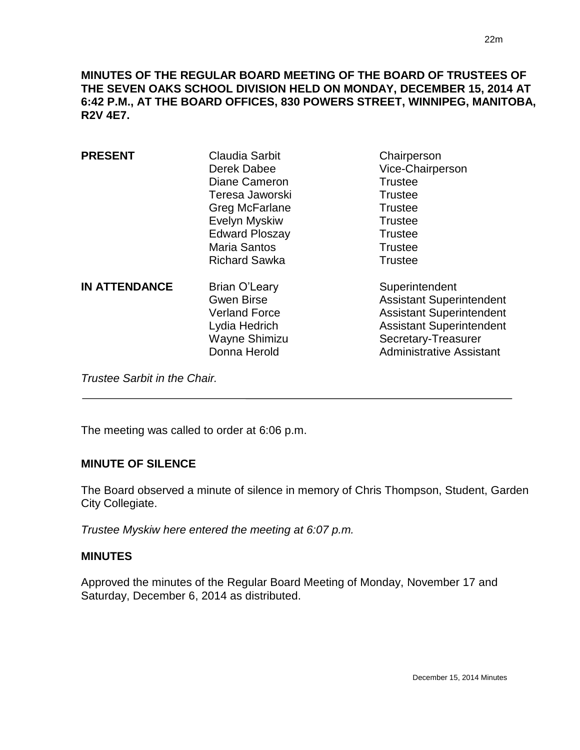**MINUTES OF THE REGULAR BOARD MEETING OF THE BOARD OF TRUSTEES OF THE SEVEN OAKS SCHOOL DIVISION HELD ON MONDAY, DECEMBER 15, 2014 AT 6:42 P.M., AT THE BOARD OFFICES, 830 POWERS STREET, WINNIPEG, MANITOBA, R2V 4E7.**

| <b>PRESENT</b>       | <b>Claudia Sarbit</b><br>Derek Dabee<br>Diane Cameron<br>Teresa Jaworski<br>Greg McFarlane<br>Evelyn Myskiw<br><b>Edward Ploszay</b><br><b>Maria Santos</b><br><b>Richard Sawka</b> | Chairperson<br>Vice-Chairperson<br><b>Trustee</b><br><b>Trustee</b><br><b>Trustee</b><br><b>Trustee</b><br><b>Trustee</b><br><b>Trustee</b><br><b>Trustee</b>                     |
|----------------------|-------------------------------------------------------------------------------------------------------------------------------------------------------------------------------------|-----------------------------------------------------------------------------------------------------------------------------------------------------------------------------------|
| <b>IN ATTENDANCE</b> | <b>Brian O'Leary</b><br><b>Gwen Birse</b><br><b>Verland Force</b><br>Lydia Hedrich<br>Wayne Shimizu<br>Donna Herold                                                                 | Superintendent<br><b>Assistant Superintendent</b><br><b>Assistant Superintendent</b><br><b>Assistant Superintendent</b><br>Secretary-Treasurer<br><b>Administrative Assistant</b> |

*Trustee Sarbit in the Chair.* 

The meeting was called to order at 6:06 p.m.

#### **MINUTE OF SILENCE**

The Board observed a minute of silence in memory of Chris Thompson, Student, Garden City Collegiate.

*Trustee Myskiw here entered the meeting at 6:07 p.m.*

#### **MINUTES**

 $\overline{a}$ 

Approved the minutes of the Regular Board Meeting of Monday, November 17 and Saturday, December 6, 2014 as distributed.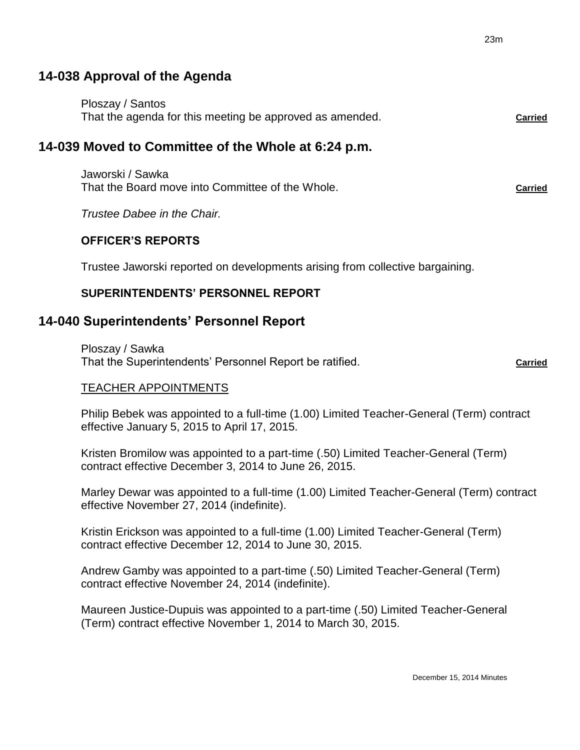# **14-038 Approval of the Agenda**

| Ploszay / Santos                                         |                |
|----------------------------------------------------------|----------------|
| That the agenda for this meeting be approved as amended. | <b>Carried</b> |

# **14-039 Moved to Committee of the Whole at 6:24 p.m.**

Jaworski / Sawka That the Board move into Committee of the Whole. **Carried**

*Trustee Dabee in the Chair.*

#### **OFFICER'S REPORTS**

Trustee Jaworski reported on developments arising from collective bargaining.

### **SUPERINTENDENTS' PERSONNEL REPORT**

## **14-040 Superintendents' Personnel Report**

Ploszay / Sawka That the Superintendents' Personnel Report be ratified. **Carried** 

TEACHER APPOINTMENTS

Philip Bebek was appointed to a full-time (1.00) Limited Teacher-General (Term) contract effective January 5, 2015 to April 17, 2015.

Kristen Bromilow was appointed to a part-time (.50) Limited Teacher-General (Term) contract effective December 3, 2014 to June 26, 2015.

Marley Dewar was appointed to a full-time (1.00) Limited Teacher-General (Term) contract effective November 27, 2014 (indefinite).

Kristin Erickson was appointed to a full-time (1.00) Limited Teacher-General (Term) contract effective December 12, 2014 to June 30, 2015.

Andrew Gamby was appointed to a part-time (.50) Limited Teacher-General (Term) contract effective November 24, 2014 (indefinite).

Maureen Justice-Dupuis was appointed to a part-time (.50) Limited Teacher-General (Term) contract effective November 1, 2014 to March 30, 2015.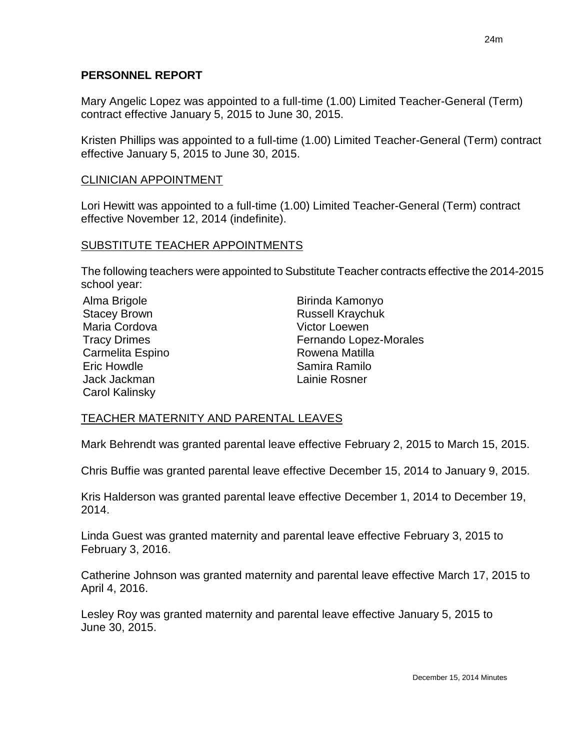#### **PERSONNEL REPORT**

Mary Angelic Lopez was appointed to a full-time (1.00) Limited Teacher-General (Term) contract effective January 5, 2015 to June 30, 2015.

Kristen Phillips was appointed to a full-time (1.00) Limited Teacher-General (Term) contract effective January 5, 2015 to June 30, 2015.

#### CLINICIAN APPOINTMENT

Lori Hewitt was appointed to a full-time (1.00) Limited Teacher-General (Term) contract effective November 12, 2014 (indefinite).

#### SUBSTITUTE TEACHER APPOINTMENTS

The following teachers were appointed to Substitute Teacher contracts effective the 2014-2015 school year:

| Alma Brigole          | Birinda Kamonyo         |
|-----------------------|-------------------------|
| <b>Stacey Brown</b>   | <b>Russell Kraychuk</b> |
| Maria Cordova         | <b>Victor Loewen</b>    |
| <b>Tracy Drimes</b>   | Fernando Lopez-Morales  |
| Carmelita Espino      | Rowena Matilla          |
| <b>Eric Howdle</b>    | Samira Ramilo           |
| Jack Jackman          | Lainie Rosner           |
| <b>Carol Kalinsky</b> |                         |

#### TEACHER MATERNITY AND PARENTAL LEAVES

Mark Behrendt was granted parental leave effective February 2, 2015 to March 15, 2015.

Chris Buffie was granted parental leave effective December 15, 2014 to January 9, 2015.

Kris Halderson was granted parental leave effective December 1, 2014 to December 19, 2014.

Linda Guest was granted maternity and parental leave effective February 3, 2015 to February 3, 2016.

Catherine Johnson was granted maternity and parental leave effective March 17, 2015 to April 4, 2016.

Lesley Roy was granted maternity and parental leave effective January 5, 2015 to June 30, 2015.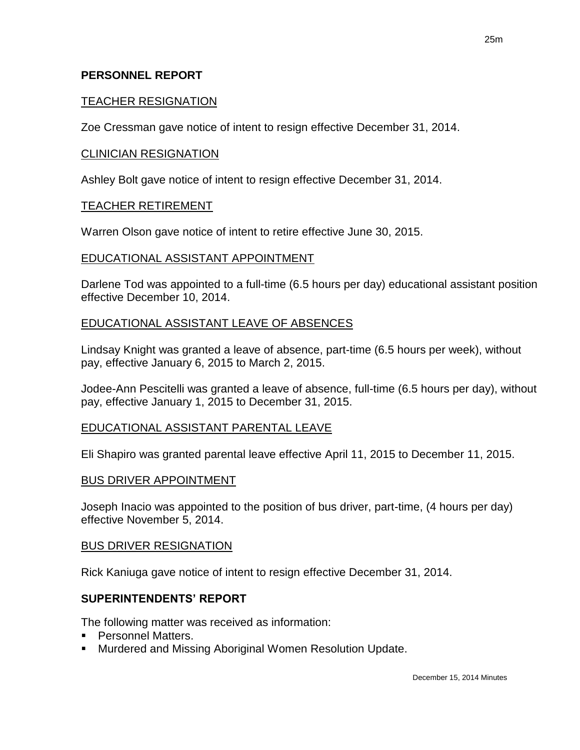#### **PERSONNEL REPORT**

#### TEACHER RESIGNATION

Zoe Cressman gave notice of intent to resign effective December 31, 2014.

#### CLINICIAN RESIGNATION

Ashley Bolt gave notice of intent to resign effective December 31, 2014.

#### TEACHER RETIREMENT

Warren Olson gave notice of intent to retire effective June 30, 2015.

#### EDUCATIONAL ASSISTANT APPOINTMENT

Darlene Tod was appointed to a full-time (6.5 hours per day) educational assistant position effective December 10, 2014.

#### EDUCATIONAL ASSISTANT LEAVE OF ABSENCES

Lindsay Knight was granted a leave of absence, part-time (6.5 hours per week), without pay, effective January 6, 2015 to March 2, 2015.

Jodee-Ann Pescitelli was granted a leave of absence, full-time (6.5 hours per day), without pay, effective January 1, 2015 to December 31, 2015.

#### EDUCATIONAL ASSISTANT PARENTAL LEAVE

Eli Shapiro was granted parental leave effective April 11, 2015 to December 11, 2015.

#### BUS DRIVER APPOINTMENT

Joseph Inacio was appointed to the position of bus driver, part-time, (4 hours per day) effective November 5, 2014.

#### BUS DRIVER RESIGNATION

Rick Kaniuga gave notice of intent to resign effective December 31, 2014.

#### **SUPERINTENDENTS' REPORT**

The following matter was received as information:

- **Personnel Matters.**
- Murdered and Missing Aboriginal Women Resolution Update.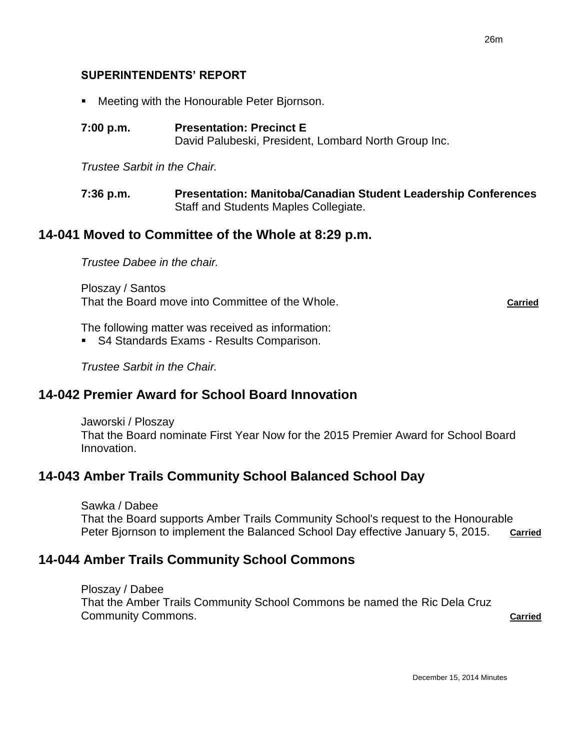#### **SUPERINTENDENTS' REPORT**

- **Meeting with the Honourable Peter Biornson.**
- **7:00 p.m. Presentation: Precinct E** David Palubeski, President, Lombard North Group Inc.

*Trustee Sarbit in the Chair.*

**7:36 p.m. Presentation: Manitoba/Canadian Student Leadership Conferences** Staff and Students Maples Collegiate.

#### **14-041 Moved to Committee of the Whole at 8:29 p.m.**

*Trustee Dabee in the chair.*

Ploszay / Santos That the Board move into Committee of the Whole. **Carried**

The following matter was received as information:

**S4 Standards Exams - Results Comparison.** 

*Trustee Sarbit in the Chair.*

## **14-042 Premier Award for School Board Innovation**

Jaworski / Ploszay That the Board nominate First Year Now for the 2015 Premier Award for School Board Innovation.

# **14-043 Amber Trails Community School Balanced School Day**

Sawka / Dabee

That the Board supports Amber Trails Community School's request to the Honourable Peter Bjornson to implement the Balanced School Day effective January 5, 2015. **Carried**

### **14-044 Amber Trails Community School Commons**

Ploszay / Dabee That the Amber Trails Community School Commons be named the Ric Dela Cruz **Community Commons. Carried Community Community Community Community**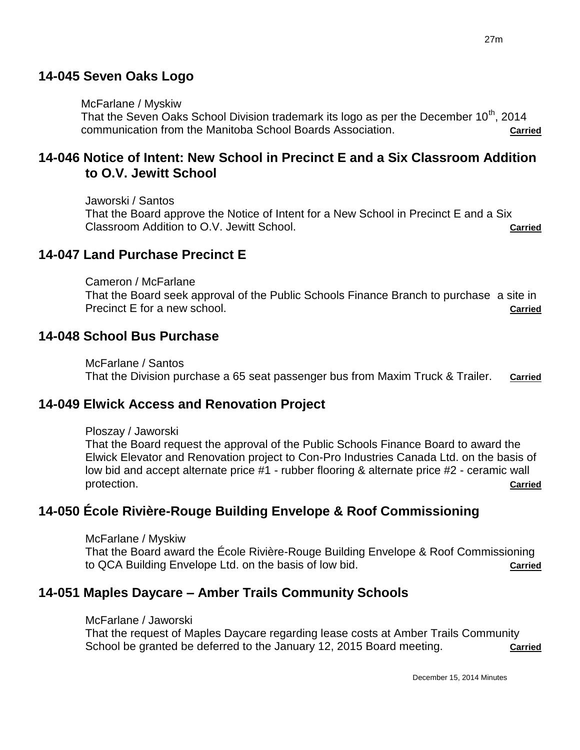# **14-045 Seven Oaks Logo**

# McFarlane / Myskiw

That the Seven Oaks School Division trademark its logo as per the December 10<sup>th</sup>, 2014 communication from the Manitoba School Boards Association. **Carried** Carried

# **14-046 Notice of Intent: New School in Precinct E and a Six Classroom Addition to O.V. Jewitt School**

Jaworski / Santos That the Board approve the Notice of Intent for a New School in Precinct E and a Six Classroom Addition to O.V. Jewitt School. **Carried**

# **14-047 Land Purchase Precinct E**

Cameron / McFarlane That the Board seek approval of the Public Schools Finance Branch to purchase a site in Precinct E for a new school. **Carried** 

# **14-048 School Bus Purchase**

McFarlane / Santos That the Division purchase a 65 seat passenger bus from Maxim Truck & Trailer. **Carried**

# **14-049 Elwick Access and Renovation Project**

# Ploszay / Jaworski

That the Board request the approval of the Public Schools Finance Board to award the Elwick Elevator and Renovation project to Con-Pro Industries Canada Ltd. on the basis of low bid and accept alternate price #1 - rubber flooring & alternate price #2 - ceramic wall protection. **Carried**

# **14-050 École Rivière-Rouge Building Envelope & Roof Commissioning**

McFarlane / Myskiw

That the Board award the École Rivière-Rouge Building Envelope & Roof Commissioning to QCA Building Envelope Ltd. on the basis of low bid. **Carried**

# **14-051 Maples Daycare – Amber Trails Community Schools**

# McFarlane / Jaworski

That the request of Maples Daycare regarding lease costs at Amber Trails Community School be granted be deferred to the January 12, 2015 Board meeting. **Carried**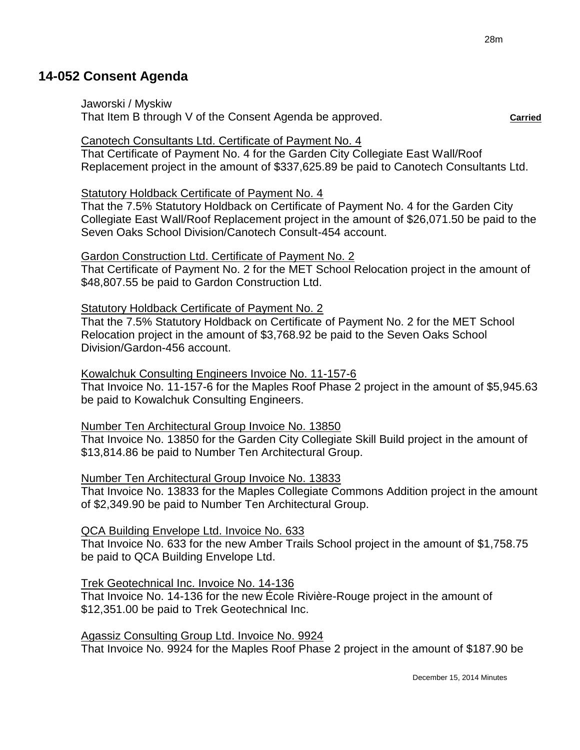# **14-052 Consent Agenda**

Jaworski / Myskiw

That Item B through V of the Consent Agenda be approved. **Carried**

#### Canotech Consultants Ltd. Certificate of Payment No. 4

That Certificate of Payment No. 4 for the Garden City Collegiate East Wall/Roof Replacement project in the amount of \$337,625.89 be paid to Canotech Consultants Ltd.

#### Statutory Holdback Certificate of Payment No. 4

That the 7.5% Statutory Holdback on Certificate of Payment No. 4 for the Garden City Collegiate East Wall/Roof Replacement project in the amount of \$26,071.50 be paid to the Seven Oaks School Division/Canotech Consult-454 account.

#### Gardon Construction Ltd. Certificate of Payment No. 2

That Certificate of Payment No. 2 for the MET School Relocation project in the amount of \$48,807.55 be paid to Gardon Construction Ltd.

#### Statutory Holdback Certificate of Payment No. 2

That the 7.5% Statutory Holdback on Certificate of Payment No. 2 for the MET School Relocation project in the amount of \$3,768.92 be paid to the Seven Oaks School Division/Gardon-456 account.

#### Kowalchuk Consulting Engineers Invoice No. 11-157-6

That Invoice No. 11-157-6 for the Maples Roof Phase 2 project in the amount of \$5,945.63 be paid to Kowalchuk Consulting Engineers.

#### Number Ten Architectural Group Invoice No. 13850

That Invoice No. 13850 for the Garden City Collegiate Skill Build project in the amount of \$13,814.86 be paid to Number Ten Architectural Group.

#### Number Ten Architectural Group Invoice No. 13833

That Invoice No. 13833 for the Maples Collegiate Commons Addition project in the amount of \$2,349.90 be paid to Number Ten Architectural Group.

### QCA Building Envelope Ltd. Invoice No. 633

That Invoice No. 633 for the new Amber Trails School project in the amount of \$1,758.75 be paid to QCA Building Envelope Ltd.

### Trek Geotechnical Inc. Invoice No. 14-136

That Invoice No. 14-136 for the new École Rivière-Rouge project in the amount of \$12,351.00 be paid to Trek Geotechnical Inc.

### Agassiz Consulting Group Ltd. Invoice No. 9924

That Invoice No. 9924 for the Maples Roof Phase 2 project in the amount of \$187.90 be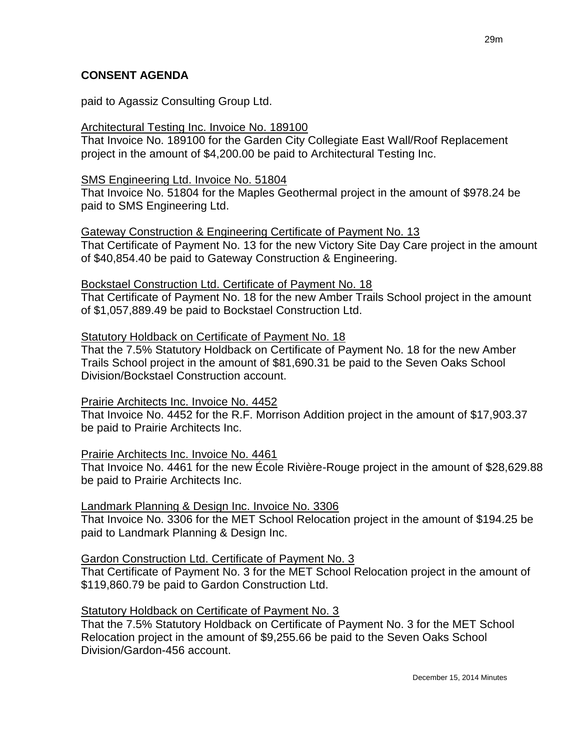#### **CONSENT AGENDA**

paid to Agassiz Consulting Group Ltd.

#### Architectural Testing Inc. Invoice No. 189100

That Invoice No. 189100 for the Garden City Collegiate East Wall/Roof Replacement project in the amount of \$4,200.00 be paid to Architectural Testing Inc.

#### SMS Engineering Ltd. Invoice No. 51804

That Invoice No. 51804 for the Maples Geothermal project in the amount of \$978.24 be paid to SMS Engineering Ltd.

#### Gateway Construction & Engineering Certificate of Payment No. 13

That Certificate of Payment No. 13 for the new Victory Site Day Care project in the amount of \$40,854.40 be paid to Gateway Construction & Engineering.

#### Bockstael Construction Ltd. Certificate of Payment No. 18

That Certificate of Payment No. 18 for the new Amber Trails School project in the amount of \$1,057,889.49 be paid to Bockstael Construction Ltd.

#### Statutory Holdback on Certificate of Payment No. 18

That the 7.5% Statutory Holdback on Certificate of Payment No. 18 for the new Amber Trails School project in the amount of \$81,690.31 be paid to the Seven Oaks School Division/Bockstael Construction account.

### Prairie Architects Inc. Invoice No. 4452

That Invoice No. 4452 for the R.F. Morrison Addition project in the amount of \$17,903.37 be paid to Prairie Architects Inc.

### Prairie Architects Inc. Invoice No. 4461

That Invoice No. 4461 for the new École Rivière-Rouge project in the amount of \$28,629.88 be paid to Prairie Architects Inc.

#### Landmark Planning & Design Inc. Invoice No. 3306

That Invoice No. 3306 for the MET School Relocation project in the amount of \$194.25 be paid to Landmark Planning & Design Inc.

### Gardon Construction Ltd. Certificate of Payment No. 3

That Certificate of Payment No. 3 for the MET School Relocation project in the amount of \$119,860.79 be paid to Gardon Construction Ltd.

### Statutory Holdback on Certificate of Payment No. 3

That the 7.5% Statutory Holdback on Certificate of Payment No. 3 for the MET School Relocation project in the amount of \$9,255.66 be paid to the Seven Oaks School Division/Gardon-456 account.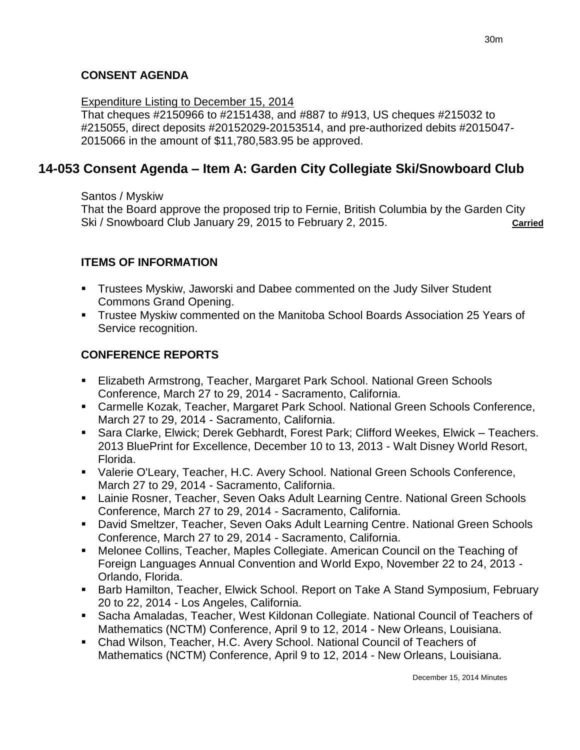# **CONSENT AGENDA**

#### Expenditure Listing to December 15, 2014

That cheques #2150966 to #2151438, and #887 to #913, US cheques #215032 to #215055, direct deposits #20152029-20153514, and pre-authorized debits #2015047- 2015066 in the amount of \$11,780,583.95 be approved.

# **14-053 Consent Agenda – Item A: Garden City Collegiate Ski/Snowboard Club**

Santos / Myskiw

That the Board approve the proposed trip to Fernie, British Columbia by the Garden City Ski / Snowboard Club January 29, 2015 to February 2, 2015. **Carried**

## **ITEMS OF INFORMATION**

- Trustees Myskiw, Jaworski and Dabee commented on the Judy Silver Student Commons Grand Opening.
- Trustee Myskiw commented on the Manitoba School Boards Association 25 Years of Service recognition.

# **CONFERENCE REPORTS**

- Elizabeth Armstrong, Teacher, Margaret Park School. National Green Schools Conference, March 27 to 29, 2014 - Sacramento, California.
- Carmelle Kozak, Teacher, Margaret Park School. National Green Schools Conference, March 27 to 29, 2014 - Sacramento, California.
- Sara Clarke, Elwick; Derek Gebhardt, Forest Park; Clifford Weekes, Elwick Teachers. 2013 BluePrint for Excellence, December 10 to 13, 2013 - Walt Disney World Resort, Florida.
- Valerie O'Leary, Teacher, H.C. Avery School. National Green Schools Conference, March 27 to 29, 2014 - Sacramento, California.
- **E.** Lainie Rosner, Teacher, Seven Oaks Adult Learning Centre. National Green Schools Conference, March 27 to 29, 2014 - Sacramento, California.
- David Smeltzer, Teacher, Seven Oaks Adult Learning Centre. National Green Schools Conference, March 27 to 29, 2014 - Sacramento, California.
- Melonee Collins, Teacher, Maples Collegiate. American Council on the Teaching of Foreign Languages Annual Convention and World Expo, November 22 to 24, 2013 - Orlando, Florida.
- Barb Hamilton, Teacher, Elwick School. Report on Take A Stand Symposium, February 20 to 22, 2014 - Los Angeles, California.
- Sacha Amaladas, Teacher, West Kildonan Collegiate. National Council of Teachers of Mathematics (NCTM) Conference, April 9 to 12, 2014 - New Orleans, Louisiana.
- Chad Wilson, Teacher, H.C. Avery School. National Council of Teachers of Mathematics (NCTM) Conference, April 9 to 12, 2014 - New Orleans, Louisiana.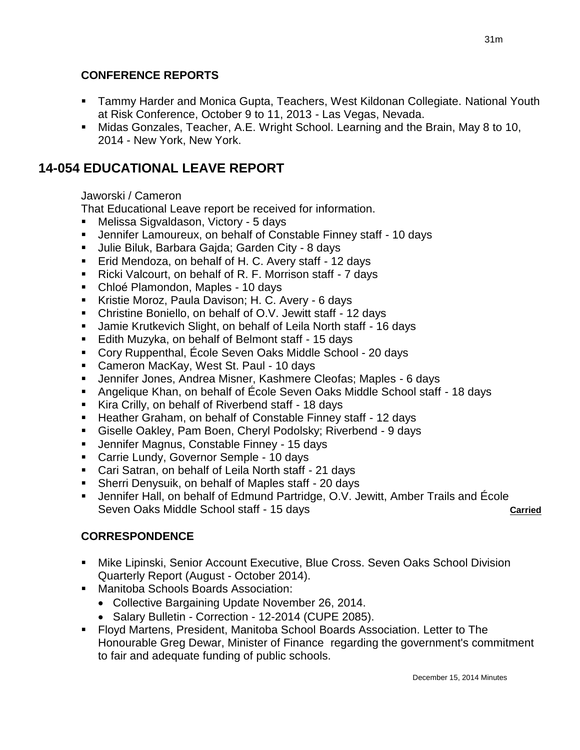## **CONFERENCE REPORTS**

- Tammy Harder and Monica Gupta, Teachers, West Kildonan Collegiate. National Youth at Risk Conference, October 9 to 11, 2013 - Las Vegas, Nevada.
- Midas Gonzales, Teacher, A.E. Wright School. Learning and the Brain, May 8 to 10, 2014 - New York, New York.

# **14-054 EDUCATIONAL LEAVE REPORT**

### Jaworski / Cameron

That Educational Leave report be received for information.

- Melissa Sigvaldason, Victory 5 days
- Jennifer Lamoureux, on behalf of Constable Finney staff 10 days
- Julie Biluk, Barbara Gajda; Garden City 8 days
- **Eid Mendoza, on behalf of H. C. Avery staff 12 days**
- Ricki Valcourt, on behalf of R. F. Morrison staff 7 days
- Chloé Plamondon, Maples 10 days
- Kristie Moroz, Paula Davison; H. C. Avery 6 days
- Christine Boniello, on behalf of O.V. Jewitt staff 12 days
- Jamie Krutkevich Slight, on behalf of Leila North staff 16 days
- Edith Muzyka, on behalf of Belmont staff 15 days
- Cory Ruppenthal, École Seven Oaks Middle School 20 days
- Cameron MacKay, West St. Paul 10 days
- Jennifer Jones, Andrea Misner, Kashmere Cleofas; Maples 6 days
- Angelique Khan, on behalf of École Seven Oaks Middle School staff 18 days
- Kira Crilly, on behalf of Riverbend staff 18 days
- Heather Graham, on behalf of Constable Finney staff 12 days
- Giselle Oakley, Pam Boen, Cheryl Podolsky; Riverbend 9 days
- Jennifer Magnus, Constable Finney 15 days
- Carrie Lundy, Governor Semple 10 days
- Cari Satran, on behalf of Leila North staff 21 days
- Sherri Denysuik, on behalf of Maples staff 20 days
- Jennifer Hall, on behalf of Edmund Partridge, O.V. Jewitt, Amber Trails and École Seven Oaks Middle School staff - 15 days **Carried Carried**

# **CORRESPONDENCE**

- Mike Lipinski, Senior Account Executive, Blue Cross. Seven Oaks School Division Quarterly Report (August - October 2014).
- **Manitoba Schools Boards Association:** 
	- Collective Bargaining Update November 26, 2014.
	- Salary Bulletin Correction 12-2014 (CUPE 2085).
- Floyd Martens, President, Manitoba School Boards Association. Letter to The Honourable Greg Dewar, Minister of Finance regarding the government's commitment to fair and adequate funding of public schools.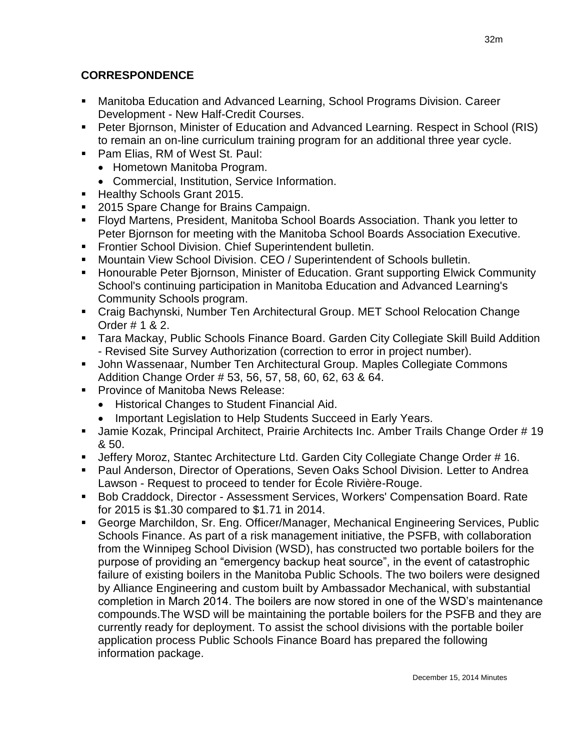## **CORRESPONDENCE**

- Manitoba Education and Advanced Learning, School Programs Division. Career Development - New Half-Credit Courses.
- Peter Bjornson, Minister of Education and Advanced Learning. Respect in School (RIS) to remain an on-line curriculum training program for an additional three year cycle.
- Pam Elias, RM of West St. Paul:
	- Hometown Manitoba Program.
	- Commercial, Institution, Service Information.
- **Healthy Schools Grant 2015.**
- 2015 Spare Change for Brains Campaign.
- Floyd Martens, President, Manitoba School Boards Association. Thank you letter to Peter Bjornson for meeting with the Manitoba School Boards Association Executive.
- **Frontier School Division. Chief Superintendent bulletin.**
- Mountain View School Division. CEO / Superintendent of Schools bulletin.
- **Honourable Peter Biornson, Minister of Education. Grant supporting Elwick Community** School's continuing participation in Manitoba Education and Advanced Learning's Community Schools program.
- Craig Bachynski, Number Ten Architectural Group. MET School Relocation Change Order # 1 & 2.
- Tara Mackay, Public Schools Finance Board. Garden City Collegiate Skill Build Addition - Revised Site Survey Authorization (correction to error in project number).
- John Wassenaar, Number Ten Architectural Group. Maples Collegiate Commons Addition Change Order # 53, 56, 57, 58, 60, 62, 63 & 64.
- **Province of Manitoba News Release:** 
	- Historical Changes to Student Financial Aid.
	- Important Legislation to Help Students Succeed in Early Years.
- **Jamie Kozak, Principal Architect, Prairie Architects Inc. Amber Trails Change Order # 19** & 50.
- Jeffery Moroz, Stantec Architecture Ltd. Garden City Collegiate Change Order # 16.
- Paul Anderson, Director of Operations, Seven Oaks School Division. Letter to Andrea Lawson - Request to proceed to tender for École Rivière-Rouge.
- Bob Craddock, Director Assessment Services, Workers' Compensation Board. Rate for 2015 is \$1.30 compared to \$1.71 in 2014.
- George Marchildon, Sr. Eng. Officer/Manager, Mechanical Engineering Services, Public Schools Finance. As part of a risk management initiative, the PSFB, with collaboration from the Winnipeg School Division (WSD), has constructed two portable boilers for the purpose of providing an "emergency backup heat source", in the event of catastrophic failure of existing boilers in the Manitoba Public Schools. The two boilers were designed by Alliance Engineering and custom built by Ambassador Mechanical, with substantial completion in March 2014. The boilers are now stored in one of the WSD's maintenance compounds.The WSD will be maintaining the portable boilers for the PSFB and they are currently ready for deployment. To assist the school divisions with the portable boiler application process Public Schools Finance Board has prepared the following information package.